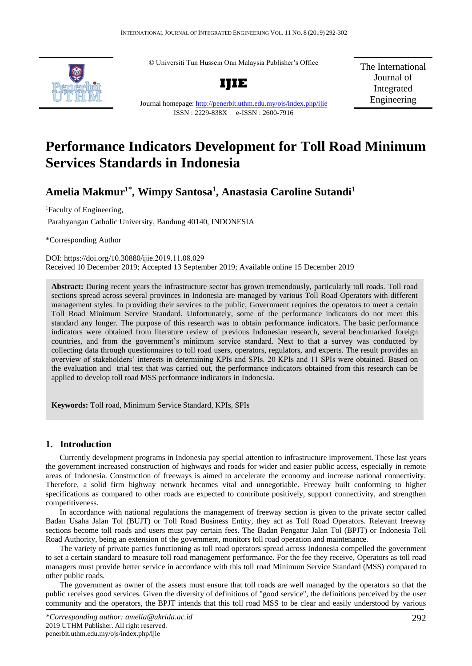© Universiti Tun Hussein Onn Malaysia Publisher's Office



**IJIE**

The International Journal of Integrated Engineering

# Journal homepage:<http://penerbit.uthm.edu.my/ojs/index.php/ijie> ISSN : 2229-838X e-ISSN : 2600-7916

# **Performance Indicators Development for Toll Road Minimum Services Standards in Indonesia**

# **Amelia Makmur1\*, Wimpy Santosa<sup>1</sup> , Anastasia Caroline Sutandi<sup>1</sup>**

<sup>1</sup>Faculty of Engineering,

Parahyangan Catholic University, Bandung 40140, INDONESIA

\*Corresponding Author

DOI: https://doi.org/10.30880/ijie.2019.11.08.029 Received 10 December 2019; Accepted 13 September 2019; Available online 15 December 2019

**Abstract:** During recent years the infrastructure sector has grown tremendously, particularly toll roads. Toll road sections spread across several provinces in Indonesia are managed by various Toll Road Operators with different management styles. In providing their services to the public, Government requires the operators to meet a certain Toll Road Minimum Service Standard. Unfortunately, some of the performance indicators do not meet this standard any longer. The purpose of this research was to obtain performance indicators. The basic performance indicators were obtained from literature review of previous Indonesian research, several benchmarked foreign countries, and from the government's minimum service standard. Next to that a survey was conducted by collecting data through questionnaires to toll road users, operators, regulators, and experts. The result provides an overview of stakeholders' interests in determining KPIs and SPIs. 20 KPIs and 11 SPIs were obtained. Based on the evaluation and trial test that was carried out, the performance indicators obtained from this research can be applied to develop toll road MSS performance indicators in Indonesia.

**Keywords:** Toll road, Minimum Service Standard, KPIs, SPIs

# **1. Introduction**

Currently development programs in Indonesia pay special attention to infrastructure improvement. These last years the government increased construction of highways and roads for wider and easier public access, especially in remote areas of Indonesia. Construction of freeways is aimed to accelerate the economy and increase national connectivity. Therefore, a solid firm highway network becomes vital and unnegotiable. Freeway built conforming to higher specifications as compared to other roads are expected to contribute positively, support connectivity, and strengthen competitiveness.

In accordance with national regulations the management of freeway section is given to the private sector called Badan Usaha Jalan Tol (BUJT) or Toll Road Business Entity, they act as Toll Road Operators. Relevant freeway sections become toll roads and users must pay certain fees. The Badan Pengatur Jalan Tol (BPJT) or Indonesia Toll Road Authority, being an extension of the government, monitors toll road operation and maintenance.

The variety of private parties functioning as toll road operators spread across Indonesia compelled the government to set a certain standard to measure toll road management performance. For the fee they receive, Operators as toll road managers must provide better service in accordance with this toll road Minimum Service Standard (MSS) compared to other public roads.

The government as owner of the assets must ensure that toll roads are well managed by the operators so that the public receives good services. Given the diversity of definitions of "good service", the definitions perceived by the user community and the operators, the BPJT intends that this toll road MSS to be clear and easily understood by various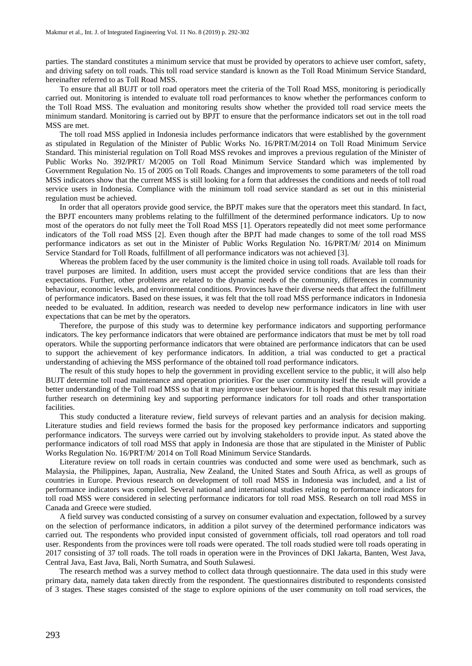parties. The standard constitutes a minimum service that must be provided by operators to achieve user comfort, safety, and driving safety on toll roads. This toll road service standard is known as the Toll Road Minimum Service Standard, hereinafter referred to as Toll Road MSS.

To ensure that all BUJT or toll road operators meet the criteria of the Toll Road MSS, monitoring is periodically carried out. Monitoring is intended to evaluate toll road performances to know whether the performances conform to the Toll Road MSS. The evaluation and monitoring results show whether the provided toll road service meets the minimum standard. Monitoring is carried out by BPJT to ensure that the performance indicators set out in the toll road MSS are met.

The toll road MSS applied in Indonesia includes performance indicators that were established by the government as stipulated in Regulation of the Minister of Public Works No. 16/PRT/M/2014 on Toll Road Minimum Service Standard. This ministerial regulation on Toll Road MSS revokes and improves a previous regulation of the Minister of Public Works No. 392/PRT/ M/2005 on Toll Road Minimum Service Standard which was implemented by Government Regulation No. 15 of 2005 on Toll Roads. Changes and improvements to some parameters of the toll road MSS indicators show that the current MSS is still looking for a form that addresses the conditions and needs of toll road service users in Indonesia. Compliance with the minimum toll road service standard as set out in this ministerial regulation must be achieved.

In order that all operators provide good service, the BPJT makes sure that the operators meet this standard. In fact, the BPJT encounters many problems relating to the fulfillment of the determined performance indicators. Up to now most of the operators do not fully meet the Toll Road MSS [1]. Operators repeatedly did not meet some performance indicators of the Toll road MSS [2]. Even though after the BPJT had made changes to some of the toll road MSS performance indicators as set out in the Minister of Public Works Regulation No. 16/PRT/M/ 2014 on Minimum Service Standard for Toll Roads, fulfillment of all performance indicators was not achieved [3].

Whereas the problem faced by the user community is the limited choice in using toll roads. Available toll roads for travel purposes are limited. In addition, users must accept the provided service conditions that are less than their expectations. Further, other problems are related to the dynamic needs of the community, differences in community behaviour, economic levels, and environmental conditions. Provinces have their diverse needs that affect the fulfillment of performance indicators. Based on these issues, it was felt that the toll road MSS performance indicators in Indonesia needed to be evaluated. In addition, research was needed to develop new performance indicators in line with user expectations that can be met by the operators.

Therefore, the purpose of this study was to determine key performance indicators and supporting performance indicators. The key performance indicators that were obtained are performance indicators that must be met by toll road operators. While the supporting performance indicators that were obtained are performance indicators that can be used to support the achievement of key performance indicators. In addition, a trial was conducted to get a practical understanding of achieving the MSS performance of the obtained toll road performance indicators.

The result of this study hopes to help the government in providing excellent service to the public, it will also help BUJT determine toll road maintenance and operation priorities. For the user community itself the result will provide a better understanding of the Toll road MSS so that it may improve user behaviour. It is hoped that this result may initiate further research on determining key and supporting performance indicators for toll roads and other transportation facilities.

This study conducted a literature review, field surveys of relevant parties and an analysis for decision making. Literature studies and field reviews formed the basis for the proposed key performance indicators and supporting performance indicators. The surveys were carried out by involving stakeholders to provide input. As stated above the performance indicators of toll road MSS that apply in Indonesia are those that are stipulated in the Minister of Public Works Regulation No. 16/PRT/M/ 2014 on Toll Road Minimum Service Standards.

Literature review on toll roads in certain countries was conducted and some were used as benchmark, such as Malaysia, the Philippines, Japan, Australia, New Zealand, the United States and South Africa, as well as groups of countries in Europe. Previous research on development of toll road MSS in Indonesia was included, and a list of performance indicators was compiled. Several national and international studies relating to performance indicators for toll road MSS were considered in selecting performance indicators for toll road MSS. Research on toll road MSS in Canada and Greece were studied.

A field survey was conducted consisting of a survey on consumer evaluation and expectation, followed by a survey on the selection of performance indicators, in addition a pilot survey of the determined performance indicators was carried out. The respondents who provided input consisted of government officials, toll road operators and toll road user. Respondents from the provinces were toll roads were operated. The toll roads studied were toll roads operating in 2017 consisting of 37 toll roads. The toll roads in operation were in the Provinces of DKI Jakarta, Banten, West Java, Central Java, East Java, Bali, North Sumatra, and South Sulawesi.

The research method was a survey method to collect data through questionnaire. The data used in this study were primary data, namely data taken directly from the respondent. The questionnaires distributed to respondents consisted of 3 stages. These stages consisted of the stage to explore opinions of the user community on toll road services, the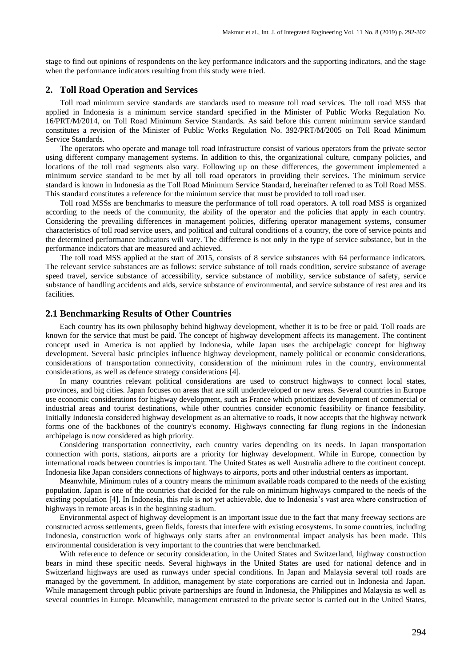stage to find out opinions of respondents on the key performance indicators and the supporting indicators, and the stage when the performance indicators resulting from this study were tried.

#### **2. Toll Road Operation and Services**

Toll road minimum service standards are standards used to measure toll road services. The toll road MSS that applied in Indonesia is a minimum service standard specified in the Minister of Public Works Regulation No. 16/PRT/M/2014, on Toll Road Minimum Service Standards. As said before this current minimum service standard constitutes a revision of the Minister of Public Works Regulation No. 392/PRT/M/2005 on Toll Road Minimum Service Standards.

The operators who operate and manage toll road infrastructure consist of various operators from the private sector using different company management systems. In addition to this, the organizational culture, company policies, and locations of the toll road segments also vary. Following up on these differences, the government implemented a minimum service standard to be met by all toll road operators in providing their services. The minimum service standard is known in Indonesia as the Toll Road Minimum Service Standard, hereinafter referred to as Toll Road MSS. This standard constitutes a reference for the minimum service that must be provided to toll road user.

Toll road MSSs are benchmarks to measure the performance of toll road operators. A toll road MSS is organized according to the needs of the community, the ability of the operator and the policies that apply in each country. Considering the prevailing differences in management policies, differing operator management systems, consumer characteristics of toll road service users, and political and cultural conditions of a country, the core of service points and the determined performance indicators will vary. The difference is not only in the type of service substance, but in the performance indicators that are measured and achieved.

The toll road MSS applied at the start of 2015, consists of 8 service substances with 64 performance indicators. The relevant service substances are as follows: service substance of toll roads condition, service substance of average speed travel, service substance of accessibility, service substance of mobility, service substance of safety, service substance of handling accidents and aids, service substance of environmental, and service substance of rest area and its facilities.

#### **2.1 Benchmarking Results of Other Countries**

Each country has its own philosophy behind highway development, whether it is to be free or paid. Toll roads are known for the service that must be paid. The concept of highway development affects its management. The continent concept used in America is not applied by Indonesia, while Japan uses the archipelagic concept for highway development. Several basic principles influence highway development, namely political or economic considerations, considerations of transportation connectivity, consideration of the minimum rules in the country, environmental considerations, as well as defence strategy considerations [4].

In many countries relevant political considerations are used to construct highways to connect local states, provinces, and big cities. Japan focuses on areas that are still underdeveloped or new areas. Several countries in Europe use economic considerations for highway development, such as France which prioritizes development of commercial or industrial areas and tourist destinations, while other countries consider economic feasibility or finance feasibility. Initially Indonesia considered highway development as an alternative to roads, it now accepts that the highway network forms one of the backbones of the country's economy. Highways connecting far flung regions in the Indonesian archipelago is now considered as high priority.

Considering transportation connectivity, each country varies depending on its needs. In Japan transportation connection with ports, stations, airports are a priority for highway development. While in Europe, connection by international roads between countries is important. The United States as well Australia adhere to the continent concept. Indonesia like Japan considers connections of highways to airports, ports and other industrial centers as important.

Meanwhile, Minimum rules of a country means the minimum available roads compared to the needs of the existing population. Japan is one of the countries that decided for the rule on minimum highways compared to the needs of the existing population [4]. In Indonesia, this rule is not yet achievable, due to Indonesia's vast area where construction of highways in remote areas is in the beginning stadium.

Environmental aspect of highway development is an important issue due to the fact that many freeway sections are constructed across settlements, green fields, forests that interfere with existing ecosystems. In some countries, including Indonesia, construction work of highways only starts after an environmental impact analysis has been made. This environmental consideration is very important to the countries that were benchmarked.

With reference to defence or security consideration, in the United States and Switzerland, highway construction bears in mind these specific needs. Several highways in the United States are used for national defence and in Switzerland highways are used as runways under special conditions. In Japan and Malaysia several toll roads are managed by the government. In addition, management by state corporations are carried out in Indonesia and Japan. While management through public private partnerships are found in Indonesia, the Philippines and Malaysia as well as several countries in Europe. Meanwhile, management entrusted to the private sector is carried out in the United States,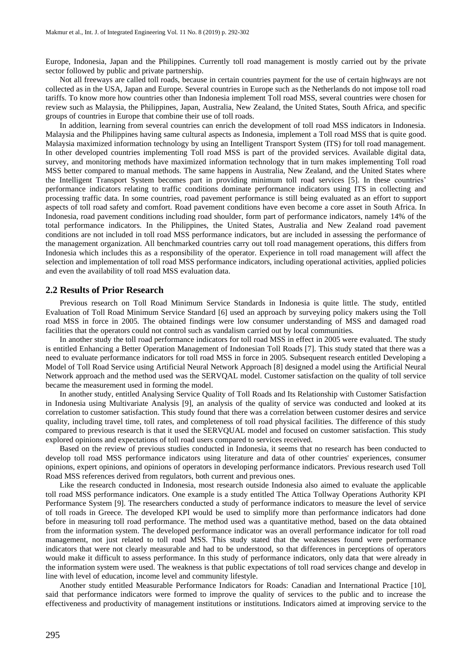Europe, Indonesia, Japan and the Philippines. Currently toll road management is mostly carried out by the private sector followed by public and private partnership.

Not all freeways are called toll roads, because in certain countries payment for the use of certain highways are not collected as in the USA, Japan and Europe. Several countries in Europe such as the Netherlands do not impose toll road tariffs. To know more how countries other than Indonesia implement Toll road MSS, several countries were chosen for review such as Malaysia, the Philippines, Japan, Australia, New Zealand, the United States, South Africa, and specific groups of countries in Europe that combine their use of toll roads.

In addition, learning from several countries can enrich the development of toll road MSS indicators in Indonesia. Malaysia and the Philippines having same cultural aspects as Indonesia, implement a Toll road MSS that is quite good. Malaysia maximized information technology by using an Intelligent Transport System (ITS) for toll road management. In other developed countries implementing Toll road MSS is part of the provided services. Available digital data, survey, and monitoring methods have maximized information technology that in turn makes implementing Toll road MSS better compared to manual methods. The same happens in Australia, New Zealand, and the United States where the Intelligent Transport System becomes part in providing minimum toll road services [5]. In these countries' performance indicators relating to traffic conditions dominate performance indicators using ITS in collecting and processing traffic data. In some countries, road pavement performance is still being evaluated as an effort to support aspects of toll road safety and comfort. Road pavement conditions have even become a core asset in South Africa. In Indonesia, road pavement conditions including road shoulder, form part of performance indicators, namely 14% of the total performance indicators. In the Philippines, the United States, Australia and New Zealand road pavement conditions are not included in toll road MSS performance indicators, but are included in assessing the performance of the management organization. All benchmarked countries carry out toll road management operations, this differs from Indonesia which includes this as a responsibility of the operator. Experience in toll road management will affect the selection and implementation of toll road MSS performance indicators, including operational activities, applied policies and even the availability of toll road MSS evaluation data.

#### **2.2 Results of Prior Research**

Previous research on Toll Road Minimum Service Standards in Indonesia is quite little. The study, entitled Evaluation of Toll Road Minimum Service Standard [6] used an approach by surveying policy makers using the Toll road MSS in force in 2005. The obtained findings were low consumer understanding of MSS and damaged road facilities that the operators could not control such as vandalism carried out by local communities.

In another study the toll road performance indicators for toll road MSS in effect in 2005 were evaluated. The study is entitled Enhancing a Better Operation Management of Indonesian Toll Roads [7]. This study stated that there was a need to evaluate performance indicators for toll road MSS in force in 2005. Subsequent research entitled Developing a Model of Toll Road Service using Artificial Neural Network Approach [8] designed a model using the Artificial Neural Network approach and the method used was the SERVQAL model. Customer satisfaction on the quality of toll service became the measurement used in forming the model.

In another study, entitled Analysing Service Quality of Toll Roads and Its Relationship with Customer Satisfaction in Indonesia using Multivariate Analysis [9], an analysis of the quality of service was conducted and looked at its correlation to customer satisfaction. This study found that there was a correlation between customer desires and service quality, including travel time, toll rates, and completeness of toll road physical facilities. The difference of this study compared to previous research is that it used the SERVQUAL model and focused on customer satisfaction. This study explored opinions and expectations of toll road users compared to services received.

Based on the review of previous studies conducted in Indonesia, it seems that no research has been conducted to develop toll road MSS performance indicators using literature and data of other countries' experiences, consumer opinions, expert opinions, and opinions of operators in developing performance indicators. Previous research used Toll Road MSS references derived from regulators, both current and previous ones.

Like the research conducted in Indonesia, most research outside Indonesia also aimed to evaluate the applicable toll road MSS performance indicators. One example is a study entitled The Attica Tollway Operations Authority KPI Performance System [9]. The researchers conducted a study of performance indicators to measure the level of service of toll roads in Greece. The developed KPI would be used to simplify more than performance indicators had done before in measuring toll road performance. The method used was a quantitative method, based on the data obtained from the information system. The developed performance indicator was an overall performance indicator for toll road management, not just related to toll road MSS. This study stated that the weaknesses found were performance indicators that were not clearly measurable and had to be understood, so that differences in perceptions of operators would make it difficult to assess performance. In this study of performance indicators, only data that were already in the information system were used. The weakness is that public expectations of toll road services change and develop in line with level of education, income level and community lifestyle.

Another study entitled Measurable Performance Indicators for Roads: Canadian and International Practice [10], said that performance indicators were formed to improve the quality of services to the public and to increase the effectiveness and productivity of management institutions or institutions. Indicators aimed at improving service to the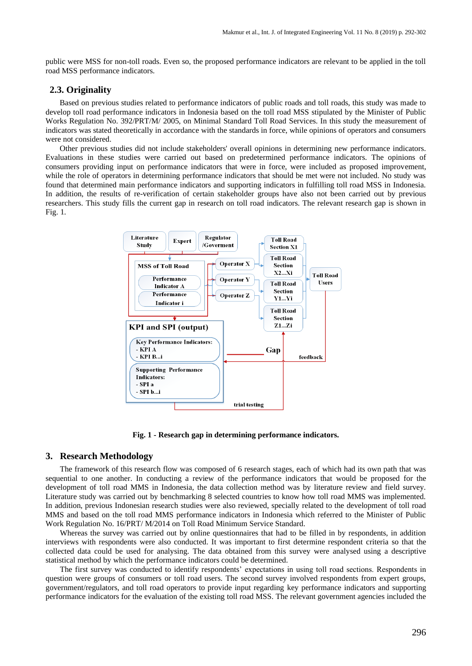public were MSS for non-toll roads. Even so, the proposed performance indicators are relevant to be applied in the toll road MSS performance indicators.

## **2.3. Originality**

Based on previous studies related to performance indicators of public roads and toll roads, this study was made to develop toll road performance indicators in Indonesia based on the toll road MSS stipulated by the Minister of Public Works Regulation No. 392/PRT/M/ 2005, on Minimal Standard Toll Road Services. In this study the measurement of indicators was stated theoretically in accordance with the standards in force, while opinions of operators and consumers were not considered.

Other previous studies did not include stakeholders' overall opinions in determining new performance indicators. Evaluations in these studies were carried out based on predetermined performance indicators. The opinions of consumers providing input on performance indicators that were in force, were included as proposed improvement, while the role of operators in determining performance indicators that should be met were not included. No study was found that determined main performance indicators and supporting indicators in fulfilling toll road MSS in Indonesia. In addition, the results of re-verification of certain stakeholder groups have also not been carried out by previous researchers. This study fills the current gap in research on toll road indicators. The relevant research gap is shown in Fig. 1.



**Fig. 1 - Research gap in determining performance indicators.**

#### **3. Research Methodology**

The framework of this research flow was composed of 6 research stages, each of which had its own path that was sequential to one another. In conducting a review of the performance indicators that would be proposed for the development of toll road MMS in Indonesia, the data collection method was by literature review and field survey. Literature study was carried out by benchmarking 8 selected countries to know how toll road MMS was implemented. In addition, previous Indonesian research studies were also reviewed, specially related to the development of toll road MMS and based on the toll road MMS performance indicators in Indonesia which referred to the Minister of Public Work Regulation No. 16/PRT/ M/2014 on Toll Road Minimum Service Standard.

Whereas the survey was carried out by online questionnaires that had to be filled in by respondents, in addition interviews with respondents were also conducted. It was important to first determine respondent criteria so that the collected data could be used for analysing. The data obtained from this survey were analysed using a descriptive statistical method by which the performance indicators could be determined.

The first survey was conducted to identify respondents' expectations in using toll road sections. Respondents in question were groups of consumers or toll road users. The second survey involved respondents from expert groups, government/regulators, and toll road operators to provide input regarding key performance indicators and supporting performance indicators for the evaluation of the existing toll road MSS. The relevant government agencies included the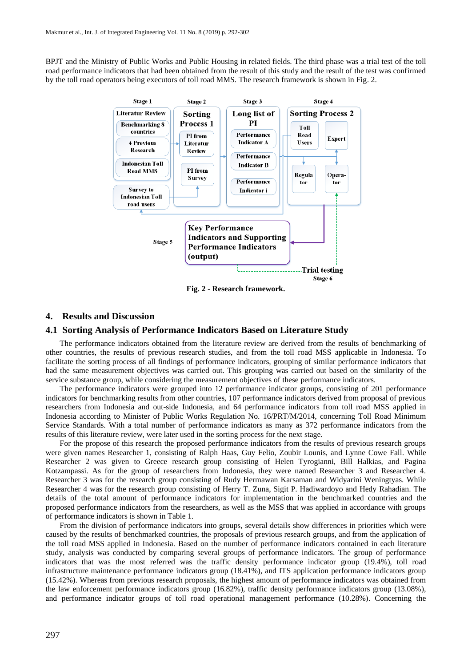BPJT and the Ministry of Public Works and Public Housing in related fields. The third phase was a trial test of the toll road performance indicators that had been obtained from the result of this study and the result of the test was confirmed by the toll road operators being executors of toll road MMS. The research framework is shown in Fig. 2.



**Fig. 2 - Research framework.**

## **4. Results and Discussion**

#### **4.1 Sorting Analysis of Performance Indicators Based on Literature Study**

The performance indicators obtained from the literature review are derived from the results of benchmarking of other countries, the results of previous research studies, and from the toll road MSS applicable in Indonesia. To facilitate the sorting process of all findings of performance indicators, grouping of similar performance indicators that had the same measurement objectives was carried out. This grouping was carried out based on the similarity of the service substance group, while considering the measurement objectives of these performance indicators.

The performance indicators were grouped into 12 performance indicator groups, consisting of 201 performance indicators for benchmarking results from other countries, 107 performance indicators derived from proposal of previous researchers from Indonesia and out-side Indonesia, and 64 performance indicators from toll road MSS applied in Indonesia according to Minister of Public Works Regulation No. 16/PRT/M/2014, concerning Toll Road Minimum Service Standards. With a total number of performance indicators as many as 372 performance indicators from the results of this literature review, were later used in the sorting process for the next stage.

For the propose of this research the proposed performance indicators from the results of previous research groups were given names Researcher 1, consisting of Ralph Haas, Guy Felio, Zoubir Lounis, and Lynne Cowe Fall. While Researcher 2 was given to Greece research group consisting of Helen Tyrogianni, Bill Halkias, and Pagina Kotzampassi. As for the group of researchers from Indonesia, they were named Researcher 3 and Researcher 4. Researcher 3 was for the research group consisting of Rudy Hermawan Karsaman and Widyarini Weningtyas. While Researcher 4 was for the research group consisting of Herry T. Zuna, Sigit P. Hadiwardoyo and Hedy Rahadian. The details of the total amount of performance indicators for implementation in the benchmarked countries and the proposed performance indicators from the researchers, as well as the MSS that was applied in accordance with groups of performance indicators is shown in Table 1.

From the division of performance indicators into groups, several details show differences in priorities which were caused by the results of benchmarked countries, the proposals of previous research groups, and from the application of the toll road MSS applied in Indonesia. Based on the number of performance indicators contained in each literature study, analysis was conducted by comparing several groups of performance indicators. The group of performance indicators that was the most referred was the traffic density performance indicator group (19.4%), toll road infrastructure maintenance performance indicators group (18.41%), and ITS application performance indicators group (15.42%). Whereas from previous research proposals, the highest amount of performance indicators was obtained from the law enforcement performance indicators group (16.82%), traffic density performance indicators group (13.08%), and performance indicator groups of toll road operational management performance (10.28%). Concerning the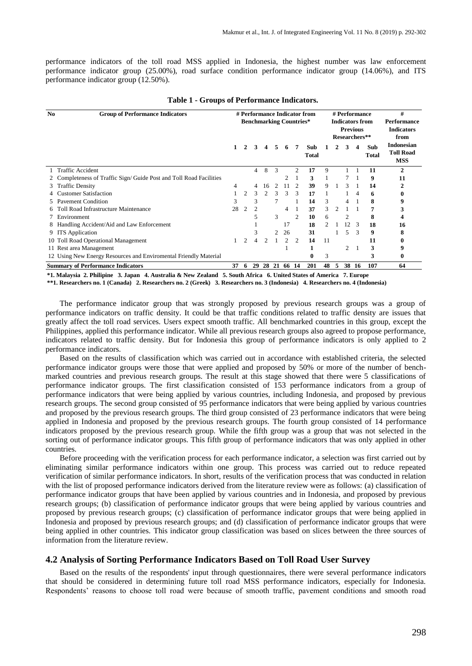performance indicators of the toll road MSS applied in Indonesia, the highest number was law enforcement performance indicator group (25.00%), road surface condition performance indicator group (14.06%), and ITS performance indicator group (12.50%).

| N <sub>0</sub> | <b>Group of Performance Indicators</b>                           | # Performance Indicator from   |                |               |                             |               |       |                |       | # Performance          |   |                |                 | #                  |                   |
|----------------|------------------------------------------------------------------|--------------------------------|----------------|---------------|-----------------------------|---------------|-------|----------------|-------|------------------------|---|----------------|-----------------|--------------------|-------------------|
|                |                                                                  | <b>Benchmarking Countries*</b> |                |               |                             |               |       |                |       | <b>Indicators from</b> |   |                |                 | <b>Performance</b> |                   |
|                |                                                                  |                                |                |               |                             |               |       |                |       |                        |   |                | <b>Previous</b> |                    | <b>Indicators</b> |
|                |                                                                  |                                |                |               |                             |               |       |                |       |                        |   |                | Researchers**   |                    | from              |
|                |                                                                  |                                |                |               |                             |               |       |                |       |                        |   |                |                 |                    | <b>Indonesian</b> |
|                |                                                                  |                                |                | 3             |                             | 5.            | 6     |                | Sub   |                        |   |                |                 | Sub                | <b>Toll Road</b>  |
|                |                                                                  |                                |                |               |                             |               |       |                | Total |                        |   |                |                 | Total              | <b>MSS</b>        |
|                | <b>Traffic Accident</b>                                          |                                |                | 4             | 8                           | 3             |       | $\mathfrak{D}$ | 17    | 9                      |   |                |                 | 11                 | 2                 |
|                |                                                                  |                                |                |               |                             |               |       |                |       |                        |   |                |                 |                    |                   |
|                | Completeness of Traffic Sign/Guide Post and Toll Road Facilities |                                |                |               |                             |               |       |                | 3     |                        |   |                |                 | 9                  | 11                |
| 3              | <b>Traffic Density</b>                                           | 4                              |                | 4             | 16                          | $\mathcal{L}$ |       |                | 39    | 9                      |   | 3              |                 | 14                 |                   |
|                | <b>Customer Satisfaction</b>                                     |                                | $\overline{c}$ | $\mathcal{R}$ | $\mathcal{D}_{\mathcal{L}}$ | 3             | 3     | 3              | 17    |                        |   |                | 4               | 6                  |                   |
|                | <b>Pavement Condition</b>                                        | 3                              |                | 3             |                             |               |       |                | 14    | 3                      |   | 4              |                 | 8                  |                   |
|                | <b>Toll Road Infrastructure Maintenance</b>                      | 28                             | $\overline{2}$ | 2             |                             |               | 4     |                | 37    | 3                      | 2 |                |                 |                    |                   |
|                | Environment                                                      |                                |                |               |                             | 3             |       | 2              | 10    | 6                      |   | 2              |                 | 8                  |                   |
|                | Handling Accident/Aid and Law Enforcement                        |                                |                |               |                             |               | 17    |                | 18    | $\mathfrak{D}$         |   | 12             | $\mathcal{R}$   | 18                 | 16                |
|                | 9 ITS Application                                                |                                |                | 3             |                             | 2             | 26    |                | 31    |                        |   | 5.             | 3               | 9                  |                   |
|                | 10 Toll Road Operational Management                              |                                | 2              | 4             | 2                           |               | 2     | 2              | 14    | 11                     |   |                |                 | 11                 |                   |
|                | 11 Rest area Management                                          |                                |                |               |                             |               |       |                |       |                        |   | $\mathfrak{D}$ |                 | 3                  |                   |
|                | 12 Using New Energy Resources and Enviromental Friendly Material |                                |                |               |                             |               |       |                | 0     | 3                      |   |                |                 | 3                  | 0                 |
|                | <b>Summary of Performance Indicators</b>                         | 37                             | 6              | 29            |                             | 28 21         | 66 14 |                | 201   | 48                     | 5 |                | 38 16           | 107                | 64                |

#### **Table 1 - Groups of Performance Indicators.**

**\*1. Malaysia 2. Philipine 3. Japan 4. Australia & New Zealand 5. South Africa 6. United States of America 7. Europe**

**\*\*1. Researchers no. 1 (Canada) 2. Researchers no. 2 (Greek) 3. Researchers no. 3 (Indonesia) 4. Researchers no. 4 (Indonesia)**

The performance indicator group that was strongly proposed by previous research groups was a group of performance indicators on traffic density. It could be that traffic conditions related to traffic density are issues that greatly affect the toll road services. Users expect smooth traffic. All benchmarked countries in this group, except the Philippines, applied this performance indicator. While all previous research groups also agreed to propose performance, indicators related to traffic density. But for Indonesia this group of performance indicators is only applied to 2 performance indicators.

Based on the results of classification which was carried out in accordance with established criteria, the selected performance indicator groups were those that were applied and proposed by 50% or more of the number of benchmarked countries and previous research groups. The result at this stage showed that there were 5 classifications of performance indicator groups. The first classification consisted of 153 performance indicators from a group of performance indicators that were being applied by various countries, including Indonesia, and proposed by previous research groups. The second group consisted of 95 performance indicators that were being applied by various countries and proposed by the previous research groups. The third group consisted of 23 performance indicators that were being applied in Indonesia and proposed by the previous research groups. The fourth group consisted of 14 performance indicators proposed by the previous research group. While the fifth group was a group that was not selected in the sorting out of performance indicator groups. This fifth group of performance indicators that was only applied in other countries.

Before proceeding with the verification process for each performance indicator, a selection was first carried out by eliminating similar performance indicators within one group. This process was carried out to reduce repeated verification of similar performance indicators. In short, results of the verification process that was conducted in relation with the list of proposed performance indicators derived from the literature review were as follows: (a) classification of performance indicator groups that have been applied by various countries and in Indonesia, and proposed by previous research groups; (b) classification of performance indicator groups that were being applied by various countries and proposed by previous research groups; (c) classification of performance indicator groups that were being applied in Indonesia and proposed by previous research groups; and (d) classification of performance indicator groups that were being applied in other countries. This indicator group classification was based on slices between the three sources of information from the literature review.

## **4.2 Analysis of Sorting Performance Indicators Based on Toll Road User Survey**

Based on the results of the respondents' input through questionnaires, there were several performance indicators that should be considered in determining future toll road MSS performance indicators, especially for Indonesia. Respondents' reasons to choose toll road were because of smooth traffic, pavement conditions and smooth road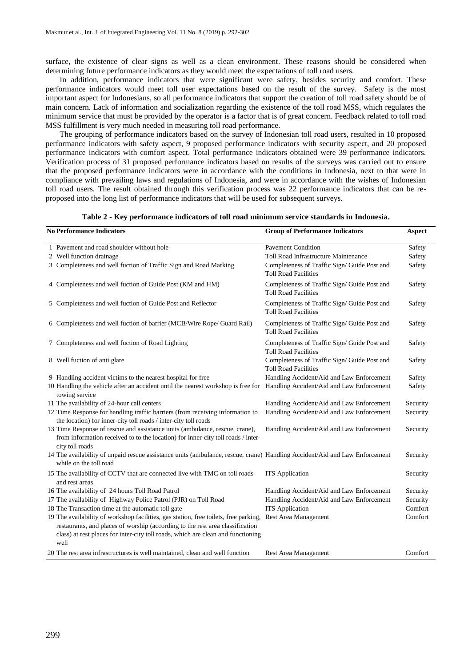surface, the existence of clear signs as well as a clean environment. These reasons should be considered when determining future performance indicators as they would meet the expectations of toll road users.

In addition, performance indicators that were significant were safety, besides security and comfort. These performance indicators would meet toll user expectations based on the result of the survey. Safety is the most important aspect for Indonesians, so all performance indicators that support the creation of toll road safety should be of main concern. Lack of information and socialization regarding the existence of the toll road MSS, which regulates the minimum service that must be provided by the operator is a factor that is of great concern. Feedback related to toll road MSS fulfillment is very much needed in measuring toll road performance.

The grouping of performance indicators based on the survey of Indonesian toll road users, resulted in 10 proposed performance indicators with safety aspect, 9 proposed performance indicators with security aspect, and 20 proposed performance indicators with comfort aspect. Total performance indicators obtained were 39 performance indicators. Verification process of 31 proposed performance indicators based on results of the surveys was carried out to ensure that the proposed performance indicators were in accordance with the conditions in Indonesia, next to that were in compliance with prevailing laws and regulations of Indonesia, and were in accordance with the wishes of Indonesian toll road users. The result obtained through this verification process was 22 performance indicators that can be reproposed into the long list of performance indicators that will be used for subsequent surveys.

| Table 2 - Key performance indicators of toll road minimum service standards in Indonesia. |  |  |  |  |  |  |  |  |  |
|-------------------------------------------------------------------------------------------|--|--|--|--|--|--|--|--|--|
|-------------------------------------------------------------------------------------------|--|--|--|--|--|--|--|--|--|

| <b>No Performance Indicators</b>                                                                                                                                                                                                                                  | <b>Group of Performance Indicators</b>                                      | Aspect   |
|-------------------------------------------------------------------------------------------------------------------------------------------------------------------------------------------------------------------------------------------------------------------|-----------------------------------------------------------------------------|----------|
| 1 Pavement and road shoulder without hole                                                                                                                                                                                                                         | <b>Pavement Condition</b>                                                   | Safety   |
| 2 Well function drainage                                                                                                                                                                                                                                          | Toll Road Infrastructure Maintenance                                        | Safety   |
| 3 Completeness and well fuction of Traffic Sign and Road Marking                                                                                                                                                                                                  | Completeness of Traffic Sign/ Guide Post and<br><b>Toll Road Facilities</b> | Safety   |
| 4 Completeness and well fuction of Guide Post (KM and HM)                                                                                                                                                                                                         | Completeness of Traffic Sign/ Guide Post and<br><b>Toll Road Facilities</b> | Safety   |
| 5 Completeness and well fuction of Guide Post and Reflector                                                                                                                                                                                                       | Completeness of Traffic Sign/ Guide Post and<br><b>Toll Road Facilities</b> | Safety   |
| 6 Completeness and well fuction of barrier (MCB/Wire Rope/ Guard Rail)                                                                                                                                                                                            | Completeness of Traffic Sign/ Guide Post and<br><b>Toll Road Facilities</b> | Safety   |
| 7 Completeness and well fuction of Road Lighting                                                                                                                                                                                                                  | Completeness of Traffic Sign/ Guide Post and<br><b>Toll Road Facilities</b> | Safety   |
| 8 Well fuction of anti glare                                                                                                                                                                                                                                      | Completeness of Traffic Sign/ Guide Post and<br><b>Toll Road Facilities</b> | Safety   |
| 9 Handling accident victims to the nearest hospital for free                                                                                                                                                                                                      | Handling Accident/Aid and Law Enforcement                                   | Safety   |
| 10 Handling the vehicle after an accident until the nearest workshop is free for Handling Accident/Aid and Law Enforcement<br>towing service                                                                                                                      |                                                                             | Safety   |
| 11 The availability of 24-hour call centers                                                                                                                                                                                                                       | Handling Accident/Aid and Law Enforcement                                   | Security |
| 12 Time Response for handling traffic barriers (from receiving information to<br>the location) for inner-city toll roads / inter-city toll roads                                                                                                                  | Handling Accident/Aid and Law Enforcement                                   | Security |
| 13 Time Response of rescue and assistance units (ambulance, rescue, crane),<br>from information received to to the location) for inner-city toll roads / inter-<br>city toll roads                                                                                | Handling Accident/Aid and Law Enforcement                                   | Security |
| 14 The availability of unpaid rescue assistance units (ambulance, rescue, crane) Handling Accident/Aid and Law Enforcement<br>while on the toll road                                                                                                              |                                                                             | Security |
| 15 The availability of CCTV that are connected live with TMC on toll roads<br>and rest areas                                                                                                                                                                      | <b>ITS</b> Application                                                      | Security |
| 16 The availability of 24 hours Toll Road Patrol                                                                                                                                                                                                                  | Handling Accident/Aid and Law Enforcement                                   | Security |
| 17 The availability of Highway Police Patrol (PJR) on Toll Road                                                                                                                                                                                                   | Handling Accident/Aid and Law Enforcement                                   | Security |
| 18 The Transaction time at the automatic toll gate                                                                                                                                                                                                                | <b>ITS</b> Application                                                      | Comfort  |
| 19 The availability of workshop facilities, gas station, free toilets, free parking,<br>restaurants, and places of worship (according to the rest area classification<br>class) at rest places for inter-city toll roads, which are clean and functioning<br>well | Rest Area Management                                                        | Comfort  |
| 20 The rest area infrastructures is well maintained, clean and well function                                                                                                                                                                                      | Rest Area Management                                                        | Comfort  |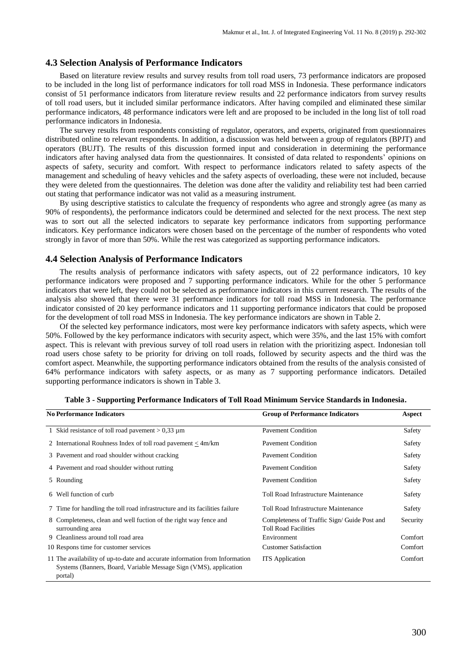#### **4.3 Selection Analysis of Performance Indicators**

Based on literature review results and survey results from toll road users, 73 performance indicators are proposed to be included in the long list of performance indicators for toll road MSS in Indonesia. These performance indicators consist of 51 performance indicators from literature review results and 22 performance indicators from survey results of toll road users, but it included similar performance indicators. After having compiled and eliminated these similar performance indicators, 48 performance indicators were left and are proposed to be included in the long list of toll road performance indicators in Indonesia.

The survey results from respondents consisting of regulator, operators, and experts, originated from questionnaires distributed online to relevant respondents. In addition, a discussion was held between a group of regulators (BPJT) and operators (BUJT). The results of this discussion formed input and consideration in determining the performance indicators after having analysed data from the questionnaires. It consisted of data related to respondents' opinions on aspects of safety, security and comfort. With respect to performance indicators related to safety aspects of the management and scheduling of heavy vehicles and the safety aspects of overloading, these were not included, because they were deleted from the questionnaires. The deletion was done after the validity and reliability test had been carried out stating that performance indicator was not valid as a measuring instrument.

By using descriptive statistics to calculate the frequency of respondents who agree and strongly agree (as many as 90% of respondents), the performance indicators could be determined and selected for the next process. The next step was to sort out all the selected indicators to separate key performance indicators from supporting performance indicators. Key performance indicators were chosen based on the percentage of the number of respondents who voted strongly in favor of more than 50%. While the rest was categorized as supporting performance indicators.

#### **4.4 Selection Analysis of Performance Indicators**

The results analysis of performance indicators with safety aspects, out of 22 performance indicators, 10 key performance indicators were proposed and 7 supporting performance indicators. While for the other 5 performance indicators that were left, they could not be selected as performance indicators in this current research. The results of the analysis also showed that there were 31 performance indicators for toll road MSS in Indonesia. The performance indicator consisted of 20 key performance indicators and 11 supporting performance indicators that could be proposed for the development of toll road MSS in Indonesia. The key performance indicators are shown in Table 2.

Of the selected key performance indicators, most were key performance indicators with safety aspects, which were 50%. Followed by the key performance indicators with security aspect, which were 35%, and the last 15% with comfort aspect. This is relevant with previous survey of toll road users in relation with the prioritizing aspect. Indonesian toll road users chose safety to be priority for driving on toll roads, followed by security aspects and the third was the comfort aspect. Meanwhile, the supporting performance indicators obtained from the results of the analysis consisted of 64% performance indicators with safety aspects, or as many as 7 supporting performance indicators. Detailed supporting performance indicators is shown in Table 3.

| <b>No Performance Indicators</b>                                                                                                                            | <b>Group of Performance Indicators</b>                                     | Aspect   |
|-------------------------------------------------------------------------------------------------------------------------------------------------------------|----------------------------------------------------------------------------|----------|
| 1 Skid resistance of toll road pavement $> 0.33 \mu$ m                                                                                                      | <b>Pavement Condition</b>                                                  | Safety   |
| 2 International Rouhness Index of toll road payment $\langle 4m/km \rangle$                                                                                 | <b>Pavement Condition</b>                                                  | Safety   |
| 3 Pavement and road shoulder without cracking                                                                                                               | <b>Pavement Condition</b>                                                  | Safety   |
| 4 Pavement and road shoulder without rutting                                                                                                                | <b>Payement Condition</b>                                                  | Safety   |
| 5 Rounding                                                                                                                                                  | <b>Payement Condition</b>                                                  | Safety   |
| 6 Well function of curb                                                                                                                                     | Toll Road Infrastructure Maintenance                                       | Safety   |
| 7 Time for handling the toll road infrastructure and its facilities failure                                                                                 | Toll Road Infrastructure Maintenance                                       | Safety   |
| 8 Completeness, clean and well fuction of the right way fence and<br>surrounding area                                                                       | Completeness of Traffic Sign/Guide Post and<br><b>Toll Road Facilities</b> | Security |
| 9 Cleanliness around toll road area                                                                                                                         | Environment                                                                | Comfort  |
| 10 Respons time for customer services                                                                                                                       | <b>Customer Satisfaction</b>                                               | Comfort  |
| 11 The availability of up-to-date and accurate information from Information<br>Systems (Banners, Board, Variable Message Sign (VMS), application<br>portal) | <b>ITS</b> Application                                                     | Comfort  |

| Table 3 - Supporting Performance Indicators of Toll Road Minimum Service Standards in Indonesia. |  |  |  |  |  |  |
|--------------------------------------------------------------------------------------------------|--|--|--|--|--|--|
|--------------------------------------------------------------------------------------------------|--|--|--|--|--|--|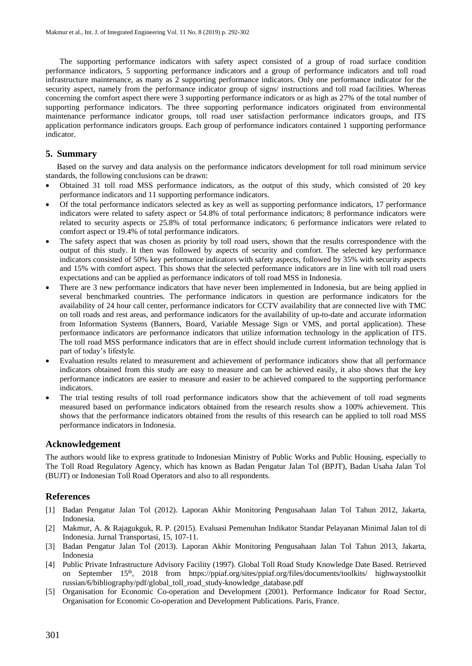The supporting performance indicators with safety aspect consisted of a group of road surface condition performance indicators, 5 supporting performance indicators and a group of performance indicators and toll road infrastructure maintenance, as many as 2 supporting performance indicators. Only one performance indicator for the security aspect, namely from the performance indicator group of signs/ instructions and toll road facilities. Whereas concerning the comfort aspect there were 3 supporting performance indicators or as high as 27% of the total number of supporting performance indicators. The three supporting performance indicators originated from environmental maintenance performance indicator groups, toll road user satisfaction performance indicators groups, and ITS application performance indicators groups. Each group of performance indicators contained 1 supporting performance indicator.

#### **5. Summary**

Based on the survey and data analysis on the performance indicators development for toll road minimum service standards, the following conclusions can be drawn:

- Obtained 31 toll road MSS performance indicators, as the output of this study, which consisted of 20 key performance indicators and 11 supporting performance indicators.
- Of the total performance indicators selected as key as well as supporting performance indicators, 17 performance indicators were related to safety aspect or 54.8% of total performance indicators; 8 performance indicators were related to security aspects or 25.8% of total performance indicators; 6 performance indicators were related to comfort aspect or 19.4% of total performance indicators.
- The safety aspect that was chosen as priority by toll road users, shown that the results correspondence with the output of this study. It then was followed by aspects of security and comfort. The selected key performance indicators consisted of 50% key performance indicators with safety aspects, followed by 35% with security aspects and 15% with comfort aspect. This shows that the selected performance indicators are in line with toll road users expectations and can be applied as performance indicators of toll road MSS in Indonesia.
- There are 3 new performance indicators that have never been implemented in Indonesia, but are being applied in several benchmarked countries. The performance indicators in question are performance indicators for the availability of 24 hour call center, performance indicators for CCTV availability that are connected live with TMC on toll roads and rest areas, and performance indicators for the availability of up-to-date and accurate information from Information Systems (Banners, Board, Variable Message Sign or VMS, and portal application). These performance indicators are performance indicators that utilize information technology in the application of ITS. The toll road MSS performance indicators that are in effect should include current information technology that is part of today's lifestyle.
- Evaluation results related to measurement and achievement of performance indicators show that all performance indicators obtained from this study are easy to measure and can be achieved easily, it also shows that the key performance indicators are easier to measure and easier to be achieved compared to the supporting performance indicators.
- The trial testing results of toll road performance indicators show that the achievement of toll road segments measured based on performance indicators obtained from the research results show a 100% achievement. This shows that the performance indicators obtained from the results of this research can be applied to toll road MSS performance indicators in Indonesia.

# **Acknowledgement**

The authors would like to express gratitude to Indonesian Ministry of Public Works and Public Housing, especially to The Toll Road Regulatory Agency, which has known as Badan Pengatur Jalan Tol (BPJT), Badan Usaha Jalan Tol (BUJT) or Indonesian Toll Road Operators and also to all respondents.

# **References**

- [1] Badan Pengatur Jalan Tol (2012). Laporan Akhir Monitoring Pengusahaan Jalan Tol Tahun 2012, Jakarta, Indonesia.
- [2] Makmur, A. & Rajagukguk, R. P. (2015). Evaluasi Pemenuhan Indikator Standar Pelayanan Minimal Jalan tol di Indonesia. Jurnal Transportasi, 15, 107-11.
- [3] Badan Pengatur Jalan Tol (2013). Laporan Akhir Monitoring Pengusahaan Jalan Tol Tahun 2013, Jakarta, Indonesia
- [4] Public Private Infrastructure Advisory Facility (1997). Global Toll Road Study Knowledge Date Based. Retrieved on September 15<sup>th</sup>, 2018 from https://ppiaf.org/sites/ppiaf.org/files/documents/toolkits/ highwaystoolkit [russian/6/bibliography/pdf/g](https://ppiaf.org/sites/ppiaf.org/files/documents/toolkits/%20highwaystoolkit%20russian/6/bibliography/pdf/)lobal\_toll\_road\_study-knowledge\_database.pdf
- [5] Organisation for Economic Co-operation and Development (2001). Performance Indicator for Road Sector, Organisation for Economic Co-operation and Development Publications. Paris, France.